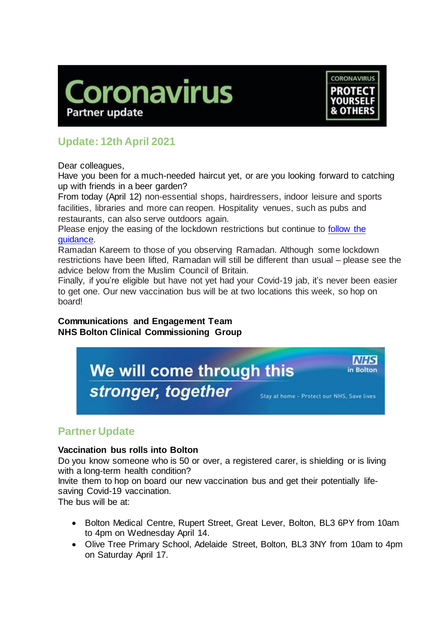



# **Update: 12th April 2021**

Dear colleagues,

Have you been for a much-needed haircut yet, or are you looking forward to catching up with friends in a beer garden?

From today (April 12) non-essential shops, hairdressers, indoor leisure and sports facilities, libraries and more can reopen. Hospitality venues, such as pubs and restaurants, can also serve outdoors again.

Please enjoy the easing of the lockdown restrictions but continue to [follow the](https://www.gov.uk/guidance/covid-19-coronavirus-restrictions-what-you-can-and-cannot-do)  [guidance.](https://www.gov.uk/guidance/covid-19-coronavirus-restrictions-what-you-can-and-cannot-do)

Ramadan Kareem to those of you observing Ramadan. Although some lockdown restrictions have been lifted, Ramadan will still be different than usual – please see the advice below from the Muslim Council of Britain.

Finally, if you're eligible but have not yet had your Covid-19 jab, it's never been easier to get one. Our new vaccination bus will be at two locations this week, so hop on board!

**Communications and Engagement Team NHS Bolton Clinical Commissioning Group**



# **Partner Update**

# **Vaccination bus rolls into Bolton**

Do you know someone who is 50 or over, a registered carer, is shielding or is living with a long-term health condition?

Invite them to hop on board our new vaccination bus and get their potentially lifesaving Covid-19 vaccination.

The bus will be at:

- Bolton Medical Centre, Rupert Street, Great Lever, Bolton, BL3 6PY from 10am to 4pm on Wednesday April 14.
- Olive Tree Primary School, Adelaide Street, Bolton, BL3 3NY from 10am to 4pm on Saturday April 17.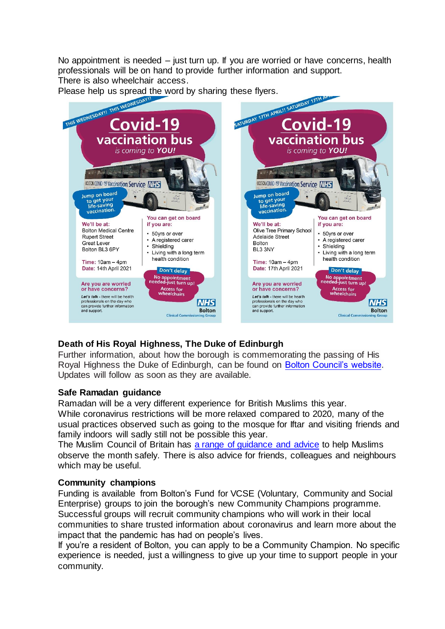No appointment is needed – just turn up. If you are worried or have concerns, health professionals will be on hand to provide further information and support.

There is also wheelchair access.



# **Death of His Royal Highness, The Duke of Edinburgh**

Further information, about how the borough is commemorating the passing of His Royal Highness the Duke of Edinburgh, can be found on [Bolton Council's website.](https://bit.ly/2PWEL67) Updates will follow as soon as they are available.

# **Safe Ramadan guidance**

Ramadan will be a very different experience for British Muslims this year. While coronavirus restrictions will be more relaxed compared to 2020, many of the usual practices observed such as going to the mosque for Iftar and visiting friends and family indoors will sadly still not be possible this year.

The Muslim Council of Britain has [a range of guidance](https://mcb.org.uk/resources/ramadan/) and advice to help Muslims observe the month safely. There is also advice for friends, colleagues and neighbours which may be useful.

# **Community champions**

Funding is available from Bolton's Fund for VCSE (Voluntary, Community and Social Enterprise) groups to join the borough's new Community Champions programme. Successful groups will recruit community champions who will work in their local communities to share trusted information about coronavirus and learn more about the impact that the pandemic has had on people's lives.

If you're a resident of Bolton, you can apply to be a Community Champion. No specific experience is needed, just a willingness to give up your time to support people in your community.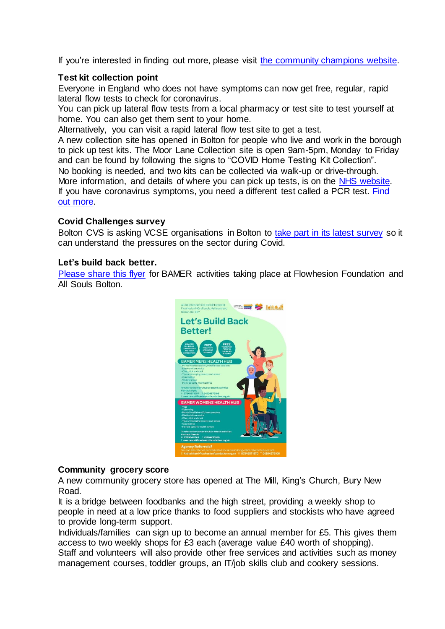If you're interested in finding out more, please visit [the](http://www.bolton.gov.uk/communitychampions) community champions website.

# **Test kit collection point**

Everyone in England who does not have symptoms can now get free, regular, rapid lateral flow tests to check for coronavirus.

You can pick up lateral flow tests from a local pharmacy or test site to test yourself at home. You can also get them sent to your home.

Alternatively, you can visit a rapid lateral flow test site to get a test.

A new collection site has opened in Bolton for people who live and work in the borough to pick up test kits. The Moor Lane Collection site is open 9am-5pm, Monday to Friday and can be found by following the signs to "COVID Home Testing Kit Collection". No booking is needed, and two kits can be collected via walk-up or drive-through. More information, and details of where you can pick up tests, is on the [NHS website.](file:///s:/www.nhs.uk/conditions/coronavirus-covid-19/testing/regular-rapid-coronavirus-tests-if-you-do-not-have-symptoms/) If you have coronavirus symptoms, you need a different test called a PCR test. [Find](https://www.gov.uk/get-coronavirus-test)  [out more.](https://www.gov.uk/get-coronavirus-test)

#### **Covid Challenges survey**

Bolton CVS is asking VCSE organisations in Bolton to [take part in its latest](https://www.boltoncvs.org.uk/civicrm/mailing/url?u=76614&qid=6292236) survey so it can understand the pressures on the sector during Covid.

#### **Let's build back better.**

[Please share this flyer](https://www.boltonccg.nhs.uk/media/6816/lets-build-back-better.jpg) for BAMER activities taking place at Flowhesion Foundation and All Souls Bolton.



#### **Community grocery score**

A new community grocery store has opened at The Mill, King's Church, Bury New Road.

It is a bridge between foodbanks and the high street, providing a weekly shop to people in need at a low price thanks to food suppliers and stockists who have agreed to provide long-term support.

Individuals/families can sign up to become an annual member for £5. This gives them access to two weekly shops for £3 each (average value £40 worth of shopping). Staff and volunteers will also provide other free services and activities such as money management courses, toddler groups, an IT/job skills club and cookery sessions.